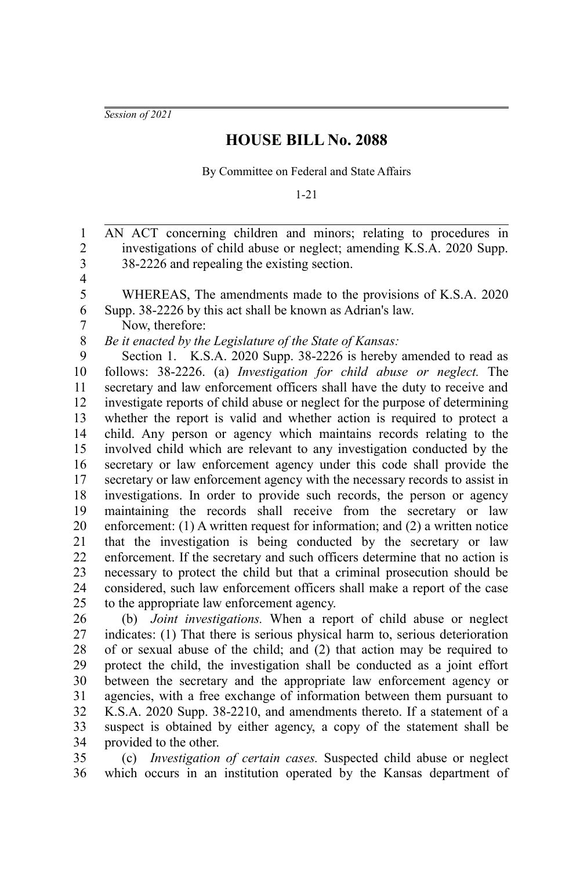*Session of 2021*

## **HOUSE BILL No. 2088**

By Committee on Federal and State Affairs

1-21

AN ACT concerning children and minors; relating to procedures in investigations of child abuse or neglect; amending K.S.A. 2020 Supp. 38-2226 and repealing the existing section. WHEREAS, The amendments made to the provisions of K.S.A. 2020 Supp. 38-2226 by this act shall be known as Adrian's law. Now, therefore: *Be it enacted by the Legislature of the State of Kansas:* Section 1. K.S.A. 2020 Supp. 38-2226 is hereby amended to read as follows: 38-2226. (a) *Investigation for child abuse or neglect.* The secretary and law enforcement officers shall have the duty to receive and investigate reports of child abuse or neglect for the purpose of determining whether the report is valid and whether action is required to protect a child. Any person or agency which maintains records relating to the involved child which are relevant to any investigation conducted by the secretary or law enforcement agency under this code shall provide the secretary or law enforcement agency with the necessary records to assist in investigations. In order to provide such records, the person or agency maintaining the records shall receive from the secretary or law enforcement: (1) A written request for information; and (2) a written notice that the investigation is being conducted by the secretary or law enforcement. If the secretary and such officers determine that no action is necessary to protect the child but that a criminal prosecution should be considered, such law enforcement officers shall make a report of the case to the appropriate law enforcement agency. 1 2 3 4 5 6 7 8 9 10 11 12 13 14 15 16 17 18 19 20 21 22 23 24 25

(b) *Joint investigations.* When a report of child abuse or neglect indicates: (1) That there is serious physical harm to, serious deterioration of or sexual abuse of the child; and (2) that action may be required to protect the child, the investigation shall be conducted as a joint effort between the secretary and the appropriate law enforcement agency or agencies, with a free exchange of information between them pursuant to K.S.A. 2020 Supp. 38-2210, and amendments thereto. If a statement of a suspect is obtained by either agency, a copy of the statement shall be provided to the other. 26 27 28 29 30 31 32 33 34

(c) *Investigation of certain cases.* Suspected child abuse or neglect which occurs in an institution operated by the Kansas department of 35 36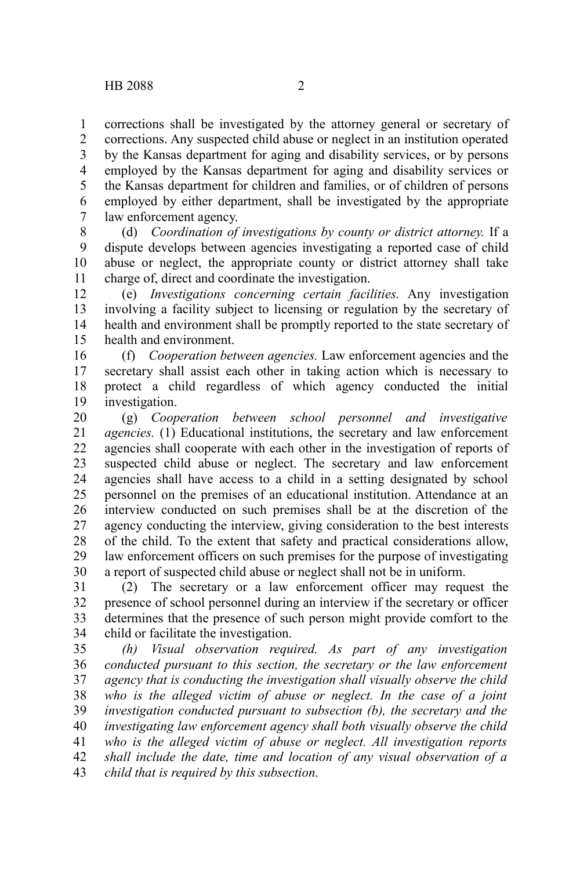corrections shall be investigated by the attorney general or secretary of corrections. Any suspected child abuse or neglect in an institution operated by the Kansas department for aging and disability services, or by persons employed by the Kansas department for aging and disability services or the Kansas department for children and families, or of children of persons employed by either department, shall be investigated by the appropriate law enforcement agency. 1 2 3 4 5 6 7

(d) *Coordination of investigations by county or district attorney.* If a dispute develops between agencies investigating a reported case of child abuse or neglect, the appropriate county or district attorney shall take charge of, direct and coordinate the investigation. 8 9 10 11

(e) *Investigations concerning certain facilities.* Any investigation involving a facility subject to licensing or regulation by the secretary of health and environment shall be promptly reported to the state secretary of health and environment. 12 13 14 15

(f) *Cooperation between agencies.* Law enforcement agencies and the secretary shall assist each other in taking action which is necessary to protect a child regardless of which agency conducted the initial investigation. 16 17 18 19

(g) *Cooperation between school personnel and investigative agencies.* (1) Educational institutions, the secretary and law enforcement agencies shall cooperate with each other in the investigation of reports of suspected child abuse or neglect. The secretary and law enforcement agencies shall have access to a child in a setting designated by school personnel on the premises of an educational institution. Attendance at an interview conducted on such premises shall be at the discretion of the agency conducting the interview, giving consideration to the best interests of the child. To the extent that safety and practical considerations allow, law enforcement officers on such premises for the purpose of investigating a report of suspected child abuse or neglect shall not be in uniform. 20 21 22 23 24 25 26 27 28 29 30

(2) The secretary or a law enforcement officer may request the presence of school personnel during an interview if the secretary or officer determines that the presence of such person might provide comfort to the child or facilitate the investigation. 31 32 33 34

*(h) Visual observation required. As part of any investigation conducted pursuant to this section, the secretary or the law enforcement agency that is conducting the investigation shall visually observe the child who is the alleged victim of abuse or neglect. In the case of a joint investigation conducted pursuant to subsection (b), the secretary and the investigating law enforcement agency shall both visually observe the child who is the alleged victim of abuse or neglect. All investigation reports shall include the date, time and location of any visual observation of a child that is required by this subsection.* 35 36 37 38 39 40 41 42 43